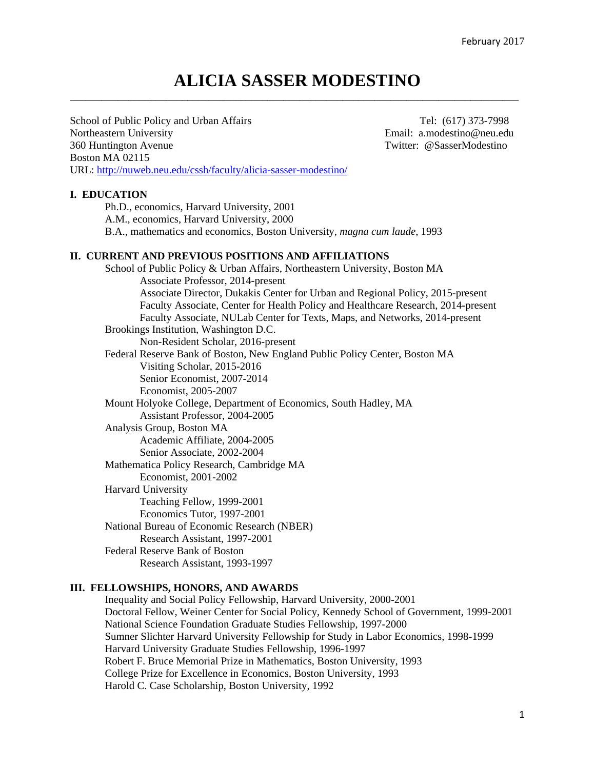# **ALICIA SASSER MODESTINO** \_\_\_\_\_\_\_\_\_\_\_\_\_\_\_\_\_\_\_\_\_\_\_\_\_\_\_\_\_\_\_\_\_\_\_\_\_\_\_\_\_\_\_\_\_\_\_\_\_\_\_\_\_\_\_\_\_\_\_\_\_\_\_\_\_\_\_\_\_\_\_\_\_\_\_\_\_\_\_\_\_\_\_\_

School of Public Policy and Urban Affairs Tel: (617) 373-7998 Northeastern University Email: a.modestino@neu.edu 360 Huntington Avenue Twitter: @SasserModestino Boston MA 02115 URL: http://nuweb.neu.edu/cssh/faculty/alicia-sasser-modestino/

### **I. EDUCATION**

Ph.D., economics, Harvard University, 2001 A.M., economics, Harvard University, 2000

B.A., mathematics and economics, Boston University, *magna cum laude*, 1993

#### **II. CURRENT AND PREVIOUS POSITIONS AND AFFILIATIONS**

School of Public Policy & Urban Affairs, Northeastern University, Boston MA Associate Professor, 2014-present Associate Director, Dukakis Center for Urban and Regional Policy, 2015-present Faculty Associate, Center for Health Policy and Healthcare Research, 2014-present Faculty Associate, NULab Center for Texts, Maps, and Networks, 2014-present Brookings Institution, Washington D.C. Non-Resident Scholar, 2016-present Federal Reserve Bank of Boston, New England Public Policy Center, Boston MA Visiting Scholar, 2015-2016 Senior Economist, 2007-2014 Economist, 2005-2007 Mount Holyoke College, Department of Economics, South Hadley, MA Assistant Professor, 2004-2005 Analysis Group, Boston MA Academic Affiliate, 2004-2005 Senior Associate, 2002-2004 Mathematica Policy Research, Cambridge MA Economist, 2001-2002 Harvard University Teaching Fellow, 1999-2001 Economics Tutor, 1997-2001 National Bureau of Economic Research (NBER) Research Assistant, 1997-2001 Federal Reserve Bank of Boston Research Assistant, 1993-1997

# **III. FELLOWSHIPS, HONORS, AND AWARDS**

Inequality and Social Policy Fellowship, Harvard University, 2000-2001 Doctoral Fellow, Weiner Center for Social Policy, Kennedy School of Government, 1999-2001 National Science Foundation Graduate Studies Fellowship, 1997-2000 Sumner Slichter Harvard University Fellowship for Study in Labor Economics, 1998-1999 Harvard University Graduate Studies Fellowship, 1996-1997 Robert F. Bruce Memorial Prize in Mathematics, Boston University, 1993 College Prize for Excellence in Economics, Boston University, 1993 Harold C. Case Scholarship, Boston University, 1992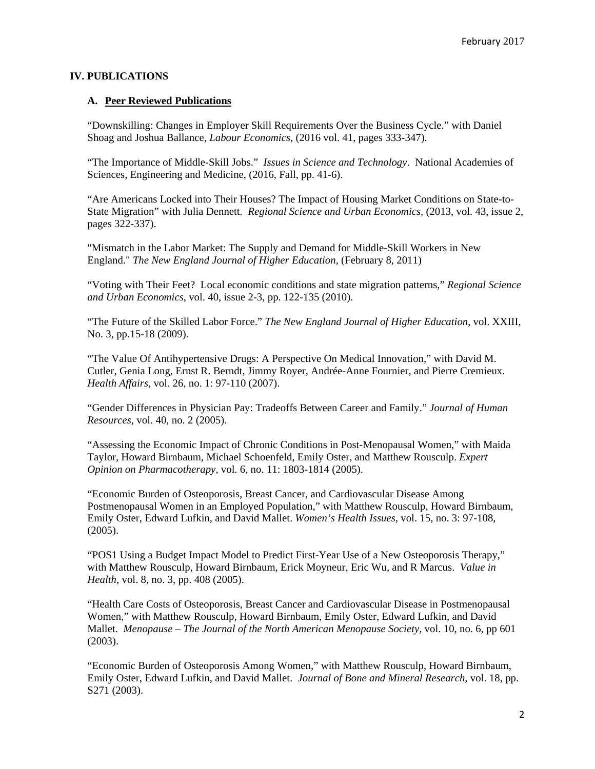### **IV. PUBLICATIONS**

#### **A. Peer Reviewed Publications**

"Downskilling: Changes in Employer Skill Requirements Over the Business Cycle." with Daniel Shoag and Joshua Ballance, *Labour Economics,* (2016 vol. 41, pages 333-347).

"The Importance of Middle-Skill Jobs." *Issues in Science and Technology*. National Academies of Sciences, Engineering and Medicine, (2016, Fall, pp. 41-6).

"Are Americans Locked into Their Houses? The Impact of Housing Market Conditions on State-to-State Migration" with Julia Dennett. *Regional Science and Urban Economics*, (2013, vol. 43, issue 2, pages 322-337).

"Mismatch in the Labor Market: The Supply and Demand for Middle-Skill Workers in New England." *The New England Journal of Higher Education*, (February 8, 2011)

"Voting with Their Feet? Local economic conditions and state migration patterns," *Regional Science and Urban Economics*, vol. 40, issue 2-3, pp. 122-135 (2010).

"The Future of the Skilled Labor Force." *The New England Journal of Higher Education*, vol. XXIII, No. 3, pp.15-18 (2009).

"The Value Of Antihypertensive Drugs: A Perspective On Medical Innovation," with David M. Cutler, Genia Long, Ernst R. Berndt, Jimmy Royer, Andrée-Anne Fournier, and Pierre Cremieux. *Health Affairs*, vol. 26, no. 1: 97-110 (2007).

"Gender Differences in Physician Pay: Tradeoffs Between Career and Family." *Journal of Human Resources*, vol. 40, no. 2 (2005).

"Assessing the Economic Impact of Chronic Conditions in Post-Menopausal Women," with Maida Taylor, Howard Birnbaum, Michael Schoenfeld, Emily Oster, and Matthew Rousculp. *Expert Opinion on Pharmacotherapy,* vol. 6, no. 11: 1803-1814 (2005).

"Economic Burden of Osteoporosis, Breast Cancer, and Cardiovascular Disease Among Postmenopausal Women in an Employed Population," with Matthew Rousculp, Howard Birnbaum, Emily Oster, Edward Lufkin, and David Mallet. *Women's Health Issues*, vol. 15, no. 3: 97-108, (2005).

"POS1 Using a Budget Impact Model to Predict First-Year Use of a New Osteoporosis Therapy," with Matthew Rousculp, Howard Birnbaum, Erick Moyneur, Eric Wu, and R Marcus. *Value in Health*, vol. 8, no. 3, pp. 408 (2005).

"Health Care Costs of Osteoporosis, Breast Cancer and Cardiovascular Disease in Postmenopausal Women," with Matthew Rousculp, Howard Birnbaum, Emily Oster, Edward Lufkin, and David Mallet. *Menopause – The Journal of the North American Menopause Society*, vol. 10, no. 6, pp 601 (2003).

"Economic Burden of Osteoporosis Among Women," with Matthew Rousculp, Howard Birnbaum, Emily Oster, Edward Lufkin, and David Mallet. *Journal of Bone and Mineral Research,* vol. 18, pp. S271 (2003).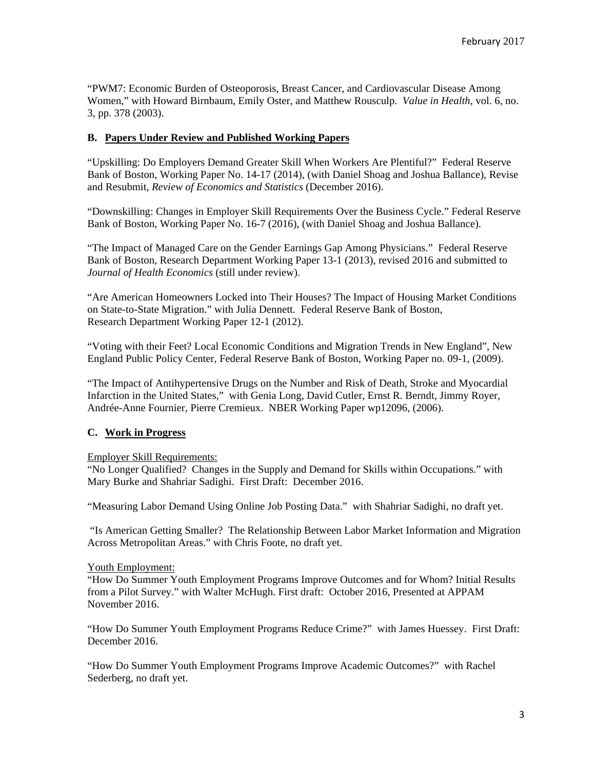"PWM7: Economic Burden of Osteoporosis, Breast Cancer, and Cardiovascular Disease Among Women," with Howard Birnbaum, Emily Oster, and Matthew Rousculp. *Value in Health*, vol. 6, no. 3, pp. 378 (2003).

# **B. Papers Under Review and Published Working Papers**

"Upskilling: Do Employers Demand Greater Skill When Workers Are Plentiful?" Federal Reserve Bank of Boston, Working Paper No. 14-17 (2014), (with Daniel Shoag and Joshua Ballance), Revise and Resubmit, *Review of Economics and Statistics* (December 2016).

"Downskilling: Changes in Employer Skill Requirements Over the Business Cycle." Federal Reserve Bank of Boston, Working Paper No. 16-7 (2016), (with Daniel Shoag and Joshua Ballance).

"The Impact of Managed Care on the Gender Earnings Gap Among Physicians." Federal Reserve Bank of Boston, Research Department Working Paper 13-1 (2013), revised 2016 and submitted to *Journal of Health Economics* (still under review).

"Are American Homeowners Locked into Their Houses? The Impact of Housing Market Conditions on State-to-State Migration." with Julia Dennett. Federal Reserve Bank of Boston, Research Department Working Paper 12-1 (2012).

"Voting with their Feet? Local Economic Conditions and Migration Trends in New England", New England Public Policy Center, Federal Reserve Bank of Boston, Working Paper no. 09-1, (2009).

"The Impact of Antihypertensive Drugs on the Number and Risk of Death, Stroke and Myocardial Infarction in the United States," with Genia Long, David Cutler, Ernst R. Berndt, Jimmy Royer, Andrée-Anne Fournier, Pierre Cremieux. NBER Working Paper wp12096, (2006).

# **C. Work in Progress**

#### Employer Skill Requirements:

"No Longer Qualified? Changes in the Supply and Demand for Skills within Occupations." with Mary Burke and Shahriar Sadighi. First Draft: December 2016.

"Measuring Labor Demand Using Online Job Posting Data." with Shahriar Sadighi, no draft yet.

 "Is American Getting Smaller? The Relationship Between Labor Market Information and Migration Across Metropolitan Areas." with Chris Foote, no draft yet.

#### Youth Employment:

"How Do Summer Youth Employment Programs Improve Outcomes and for Whom? Initial Results from a Pilot Survey." with Walter McHugh. First draft: October 2016, Presented at APPAM November 2016.

"How Do Summer Youth Employment Programs Reduce Crime?" with James Huessey. First Draft: December 2016.

"How Do Summer Youth Employment Programs Improve Academic Outcomes?" with Rachel Sederberg, no draft yet.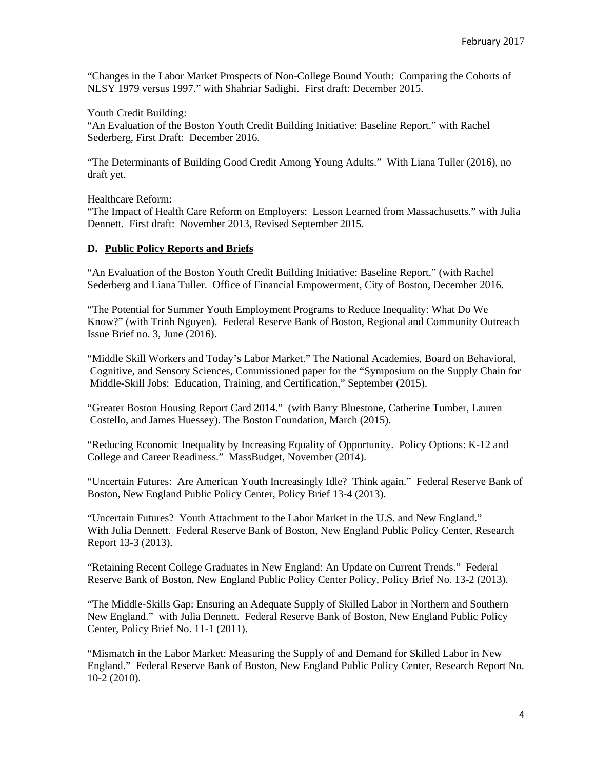"Changes in the Labor Market Prospects of Non-College Bound Youth: Comparing the Cohorts of NLSY 1979 versus 1997." with Shahriar Sadighi. First draft: December 2015.

#### Youth Credit Building:

"An Evaluation of the Boston Youth Credit Building Initiative: Baseline Report." with Rachel Sederberg, First Draft: December 2016.

"The Determinants of Building Good Credit Among Young Adults." With Liana Tuller (2016), no draft yet.

### Healthcare Reform:

"The Impact of Health Care Reform on Employers: Lesson Learned from Massachusetts." with Julia Dennett. First draft: November 2013, Revised September 2015.

### **D. Public Policy Reports and Briefs**

"An Evaluation of the Boston Youth Credit Building Initiative: Baseline Report." (with Rachel Sederberg and Liana Tuller. Office of Financial Empowerment, City of Boston, December 2016.

"The Potential for Summer Youth Employment Programs to Reduce Inequality: What Do We Know?" (with Trinh Nguyen). Federal Reserve Bank of Boston, Regional and Community Outreach Issue Brief no. 3, June (2016).

"Middle Skill Workers and Today's Labor Market." The National Academies, Board on Behavioral, Cognitive, and Sensory Sciences, Commissioned paper for the "Symposium on the Supply Chain for Middle-Skill Jobs: Education, Training, and Certification," September (2015).

"Greater Boston Housing Report Card 2014." (with Barry Bluestone, Catherine Tumber, Lauren Costello, and James Huessey). The Boston Foundation, March (2015).

"Reducing Economic Inequality by Increasing Equality of Opportunity. Policy Options: K-12 and College and Career Readiness." MassBudget, November (2014).

"Uncertain Futures: Are American Youth Increasingly Idle? Think again." Federal Reserve Bank of Boston, New England Public Policy Center, Policy Brief 13-4 (2013).

"Uncertain Futures? Youth Attachment to the Labor Market in the U.S. and New England." With Julia Dennett. Federal Reserve Bank of Boston, New England Public Policy Center, Research Report 13-3 (2013).

"Retaining Recent College Graduates in New England: An Update on Current Trends." Federal Reserve Bank of Boston, New England Public Policy Center Policy, Policy Brief No. 13-2 (2013).

"The Middle-Skills Gap: Ensuring an Adequate Supply of Skilled Labor in Northern and Southern New England." with Julia Dennett. Federal Reserve Bank of Boston, New England Public Policy Center, Policy Brief No. 11-1 (2011).

"Mismatch in the Labor Market: Measuring the Supply of and Demand for Skilled Labor in New England." Federal Reserve Bank of Boston, New England Public Policy Center, Research Report No. 10-2 (2010).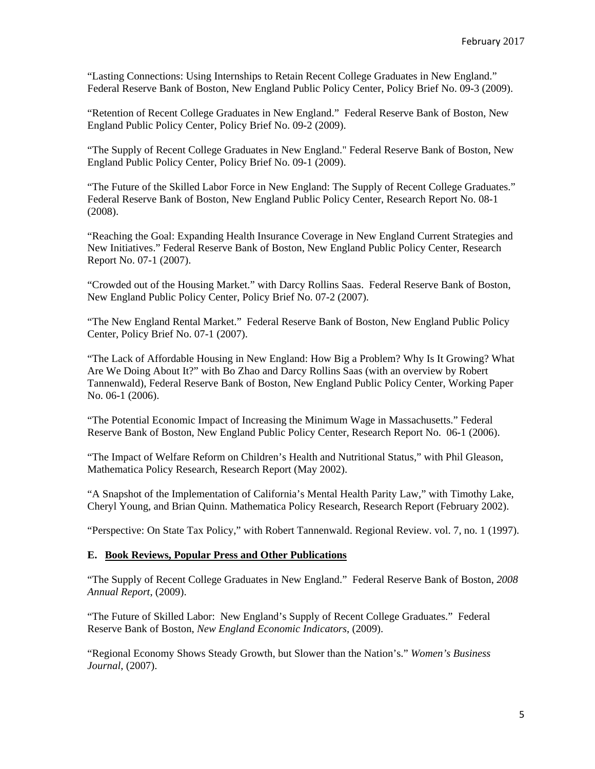"Lasting Connections: Using Internships to Retain Recent College Graduates in New England." Federal Reserve Bank of Boston, New England Public Policy Center, Policy Brief No. 09-3 (2009).

"Retention of Recent College Graduates in New England." Federal Reserve Bank of Boston, New England Public Policy Center, Policy Brief No. 09-2 (2009).

"The Supply of Recent College Graduates in New England." Federal Reserve Bank of Boston, New England Public Policy Center, Policy Brief No. 09-1 (2009).

"The Future of the Skilled Labor Force in New England: The Supply of Recent College Graduates." Federal Reserve Bank of Boston, New England Public Policy Center, Research Report No. 08-1 (2008).

"Reaching the Goal: Expanding Health Insurance Coverage in New England Current Strategies and New Initiatives." Federal Reserve Bank of Boston, New England Public Policy Center, Research Report No. 07-1 (2007).

"Crowded out of the Housing Market." with Darcy Rollins Saas. Federal Reserve Bank of Boston, New England Public Policy Center, Policy Brief No. 07-2 (2007).

"The New England Rental Market." Federal Reserve Bank of Boston, New England Public Policy Center, Policy Brief No. 07-1 (2007).

"The Lack of Affordable Housing in New England: How Big a Problem? Why Is It Growing? What Are We Doing About It?" with Bo Zhao and Darcy Rollins Saas (with an overview by Robert Tannenwald), Federal Reserve Bank of Boston, New England Public Policy Center, Working Paper No. 06-1 (2006).

"The Potential Economic Impact of Increasing the Minimum Wage in Massachusetts." Federal Reserve Bank of Boston, New England Public Policy Center, Research Report No. 06-1 (2006).

"The Impact of Welfare Reform on Children's Health and Nutritional Status," with Phil Gleason, Mathematica Policy Research, Research Report (May 2002).

"A Snapshot of the Implementation of California's Mental Health Parity Law," with Timothy Lake, Cheryl Young, and Brian Quinn. Mathematica Policy Research, Research Report (February 2002).

"Perspective: On State Tax Policy," with Robert Tannenwald. Regional Review. vol. 7, no. 1 (1997).

### **E. Book Reviews, Popular Press and Other Publications**

"The Supply of Recent College Graduates in New England." Federal Reserve Bank of Boston, *2008 Annual Report*, (2009).

"The Future of Skilled Labor: New England's Supply of Recent College Graduates." Federal Reserve Bank of Boston, *New England Economic Indicators*, (2009).

"Regional Economy Shows Steady Growth, but Slower than the Nation's." *Women's Business Journal*, (2007).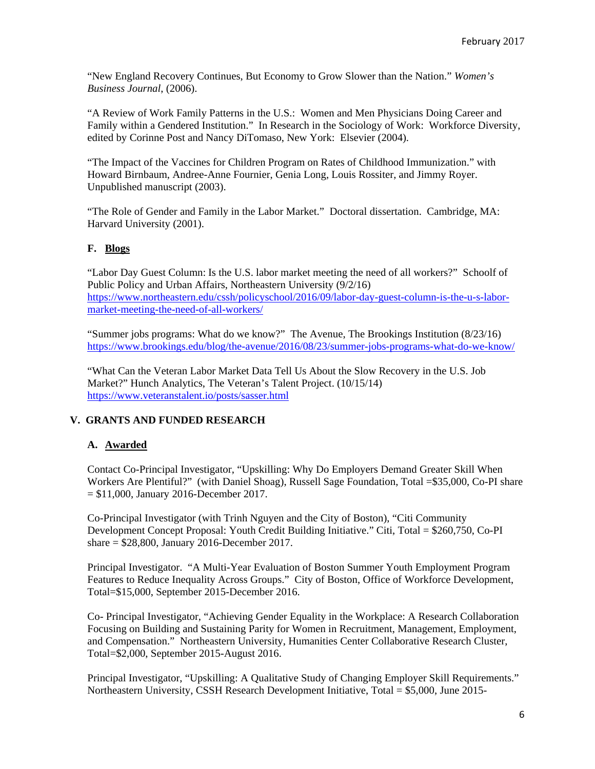"New England Recovery Continues, But Economy to Grow Slower than the Nation." *Women's Business Journal*, (2006).

"A Review of Work Family Patterns in the U.S.: Women and Men Physicians Doing Career and Family within a Gendered Institution." In Research in the Sociology of Work: Workforce Diversity, edited by Corinne Post and Nancy DiTomaso, New York: Elsevier (2004).

"The Impact of the Vaccines for Children Program on Rates of Childhood Immunization." with Howard Birnbaum, Andree-Anne Fournier, Genia Long, Louis Rossiter, and Jimmy Royer. Unpublished manuscript (2003).

"The Role of Gender and Family in the Labor Market." Doctoral dissertation. Cambridge, MA: Harvard University (2001).

# **F. Blogs**

"Labor Day Guest Column: Is the U.S. labor market meeting the need of all workers?" Schoolf of Public Policy and Urban Affairs, Northeastern University (9/2/16) https://www.northeastern.edu/cssh/policyschool/2016/09/labor-day-guest-column-is-the-u-s-labormarket-meeting-the-need-of-all-workers/

"Summer jobs programs: What do we know?" The Avenue, The Brookings Institution (8/23/16) https://www.brookings.edu/blog/the-avenue/2016/08/23/summer-jobs-programs-what-do-we-know/

"What Can the Veteran Labor Market Data Tell Us About the Slow Recovery in the U.S. Job Market?" Hunch Analytics, The Veteran's Talent Project. (10/15/14) https://www.veteranstalent.io/posts/sasser.html

# **V. GRANTS AND FUNDED RESEARCH**

# **A. Awarded**

Contact Co-Principal Investigator, "Upskilling: Why Do Employers Demand Greater Skill When Workers Are Plentiful?" (with Daniel Shoag), Russell Sage Foundation, Total =\$35,000, Co-PI share  $= $11,000$ , January 2016-December 2017.

Co-Principal Investigator (with Trinh Nguyen and the City of Boston), "Citi Community Development Concept Proposal: Youth Credit Building Initiative." Citi, Total = \$260,750, Co-PI share = \$28,800, January 2016-December 2017.

Principal Investigator. "A Multi-Year Evaluation of Boston Summer Youth Employment Program Features to Reduce Inequality Across Groups." City of Boston, Office of Workforce Development, Total=\$15,000, September 2015-December 2016.

Co- Principal Investigator, "Achieving Gender Equality in the Workplace: A Research Collaboration Focusing on Building and Sustaining Parity for Women in Recruitment, Management, Employment, and Compensation." Northeastern University, Humanities Center Collaborative Research Cluster, Total=\$2,000, September 2015-August 2016.

Principal Investigator, "Upskilling: A Qualitative Study of Changing Employer Skill Requirements." Northeastern University, CSSH Research Development Initiative, Total = \$5,000, June 2015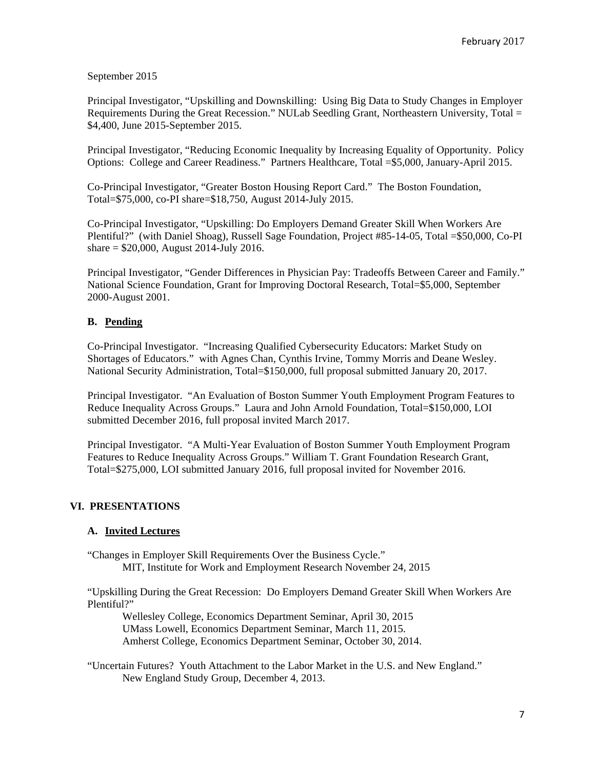September 2015

Principal Investigator, "Upskilling and Downskilling: Using Big Data to Study Changes in Employer Requirements During the Great Recession." NULab Seedling Grant, Northeastern University, Total = \$4,400, June 2015-September 2015.

Principal Investigator, "Reducing Economic Inequality by Increasing Equality of Opportunity. Policy Options: College and Career Readiness." Partners Healthcare, Total =\$5,000, January-April 2015.

Co-Principal Investigator, "Greater Boston Housing Report Card." The Boston Foundation, Total=\$75,000, co-PI share=\$18,750, August 2014-July 2015.

Co-Principal Investigator, "Upskilling: Do Employers Demand Greater Skill When Workers Are Plentiful?" (with Daniel Shoag), Russell Sage Foundation, Project #85-14-05, Total =\$50,000, Co-PI share = \$20,000, August 2014-July 2016.

Principal Investigator, "Gender Differences in Physician Pay: Tradeoffs Between Career and Family." National Science Foundation, Grant for Improving Doctoral Research, Total=\$5,000, September 2000-August 2001.

# **B. Pending**

Co-Principal Investigator. "Increasing Qualified Cybersecurity Educators: Market Study on Shortages of Educators." with Agnes Chan, Cynthis Irvine, Tommy Morris and Deane Wesley. National Security Administration, Total=\$150,000, full proposal submitted January 20, 2017.

Principal Investigator. "An Evaluation of Boston Summer Youth Employment Program Features to Reduce Inequality Across Groups." Laura and John Arnold Foundation, Total=\$150,000, LOI submitted December 2016, full proposal invited March 2017.

Principal Investigator. "A Multi-Year Evaluation of Boston Summer Youth Employment Program Features to Reduce Inequality Across Groups." William T. Grant Foundation Research Grant, Total=\$275,000, LOI submitted January 2016, full proposal invited for November 2016.

# **VI. PRESENTATIONS**

# **A. Invited Lectures**

"Changes in Employer Skill Requirements Over the Business Cycle." MIT, Institute for Work and Employment Research November 24, 2015

"Upskilling During the Great Recession: Do Employers Demand Greater Skill When Workers Are Plentiful?"

Wellesley College, Economics Department Seminar, April 30, 2015 UMass Lowell, Economics Department Seminar, March 11, 2015. Amherst College, Economics Department Seminar, October 30, 2014.

"Uncertain Futures? Youth Attachment to the Labor Market in the U.S. and New England." New England Study Group, December 4, 2013.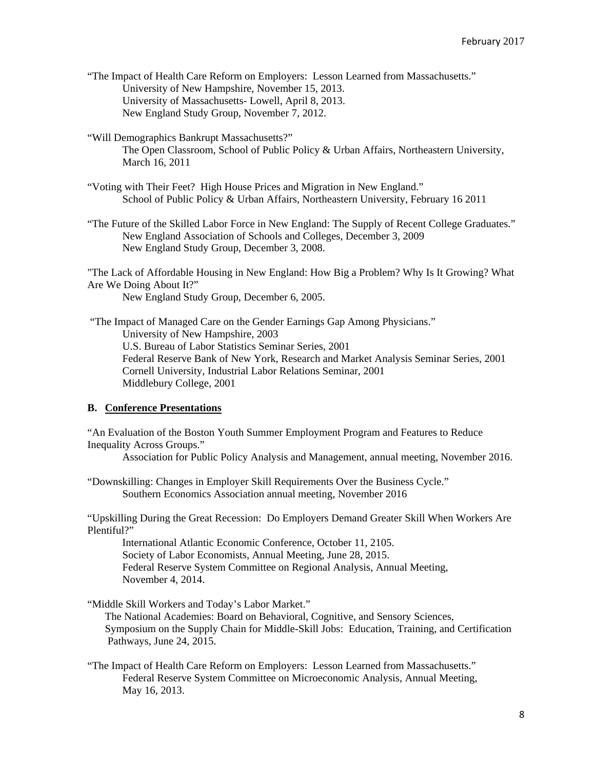"The Impact of Health Care Reform on Employers: Lesson Learned from Massachusetts." University of New Hampshire, November 15, 2013. University of Massachusetts- Lowell, April 8, 2013. New England Study Group, November 7, 2012.

"Will Demographics Bankrupt Massachusetts?"

The Open Classroom, School of Public Policy & Urban Affairs, Northeastern University, March 16, 2011

"Voting with Their Feet? High House Prices and Migration in New England." School of Public Policy & Urban Affairs, Northeastern University, February 16 2011

"The Future of the Skilled Labor Force in New England: The Supply of Recent College Graduates." New England Association of Schools and Colleges, December 3, 2009 New England Study Group, December 3, 2008.

"The Lack of Affordable Housing in New England: How Big a Problem? Why Is It Growing? What Are We Doing About It?"

New England Study Group, December 6, 2005.

 "The Impact of Managed Care on the Gender Earnings Gap Among Physicians." University of New Hampshire, 2003 U.S. Bureau of Labor Statistics Seminar Series, 2001 Federal Reserve Bank of New York, Research and Market Analysis Seminar Series, 2001 Cornell University, Industrial Labor Relations Seminar, 2001 Middlebury College, 2001

# **B. Conference Presentations**

"An Evaluation of the Boston Youth Summer Employment Program and Features to Reduce Inequality Across Groups."

Association for Public Policy Analysis and Management, annual meeting, November 2016.

"Downskilling: Changes in Employer Skill Requirements Over the Business Cycle." Southern Economics Association annual meeting, November 2016

"Upskilling During the Great Recession: Do Employers Demand Greater Skill When Workers Are Plentiful?"

 International Atlantic Economic Conference, October 11, 2105. Society of Labor Economists, Annual Meeting, June 28, 2015. Federal Reserve System Committee on Regional Analysis, Annual Meeting, November 4, 2014.

"Middle Skill Workers and Today's Labor Market."

The National Academies: Board on Behavioral, Cognitive, and Sensory Sciences, Symposium on the Supply Chain for Middle-Skill Jobs: Education, Training, and Certification Pathways, June 24, 2015.

"The Impact of Health Care Reform on Employers: Lesson Learned from Massachusetts." Federal Reserve System Committee on Microeconomic Analysis, Annual Meeting, May 16, 2013.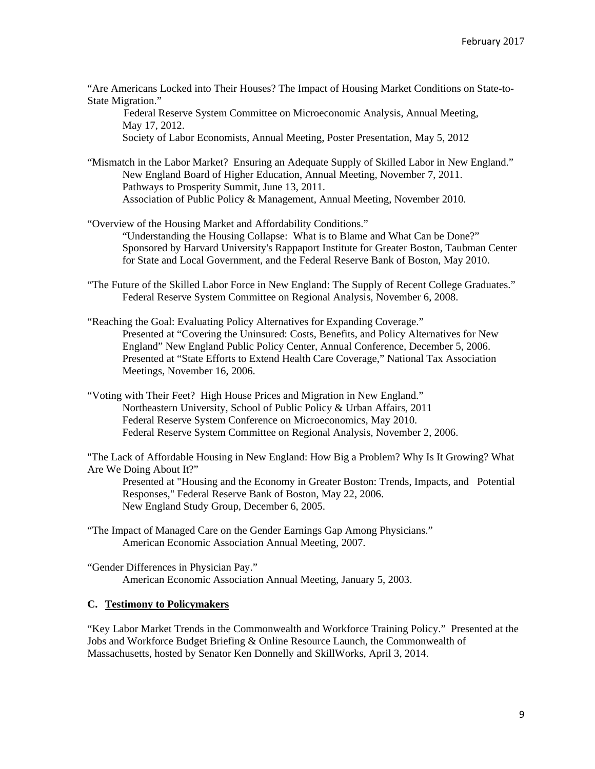"Are Americans Locked into Their Houses? The Impact of Housing Market Conditions on State-to-State Migration."

 Federal Reserve System Committee on Microeconomic Analysis, Annual Meeting, May 17, 2012.

Society of Labor Economists, Annual Meeting, Poster Presentation, May 5, 2012

"Mismatch in the Labor Market? Ensuring an Adequate Supply of Skilled Labor in New England." New England Board of Higher Education, Annual Meeting, November 7, 2011. Pathways to Prosperity Summit, June 13, 2011. Association of Public Policy & Management, Annual Meeting, November 2010.

"Overview of the Housing Market and Affordability Conditions." "Understanding the Housing Collapse: What is to Blame and What Can be Done?" Sponsored by Harvard University's Rappaport Institute for Greater Boston, Taubman Center for State and Local Government, and the Federal Reserve Bank of Boston, May 2010.

"The Future of the Skilled Labor Force in New England: The Supply of Recent College Graduates." Federal Reserve System Committee on Regional Analysis, November 6, 2008.

"Reaching the Goal: Evaluating Policy Alternatives for Expanding Coverage." Presented at "Covering the Uninsured: Costs, Benefits, and Policy Alternatives for New England" New England Public Policy Center, Annual Conference, December 5, 2006. Presented at "State Efforts to Extend Health Care Coverage," National Tax Association Meetings, November 16, 2006.

"Voting with Their Feet? High House Prices and Migration in New England." Northeastern University, School of Public Policy & Urban Affairs, 2011 Federal Reserve System Conference on Microeconomics, May 2010. Federal Reserve System Committee on Regional Analysis, November 2, 2006.

"The Lack of Affordable Housing in New England: How Big a Problem? Why Is It Growing? What Are We Doing About It?"

Presented at "Housing and the Economy in Greater Boston: Trends, Impacts, and Potential Responses," Federal Reserve Bank of Boston, May 22, 2006. New England Study Group, December 6, 2005.

"The Impact of Managed Care on the Gender Earnings Gap Among Physicians." American Economic Association Annual Meeting, 2007.

"Gender Differences in Physician Pay." American Economic Association Annual Meeting, January 5, 2003.

# **C. Testimony to Policymakers**

"Key Labor Market Trends in the Commonwealth and Workforce Training Policy." Presented at the Jobs and Workforce Budget Briefing & Online Resource Launch, the Commonwealth of Massachusetts, hosted by Senator Ken Donnelly and SkillWorks, April 3, 2014.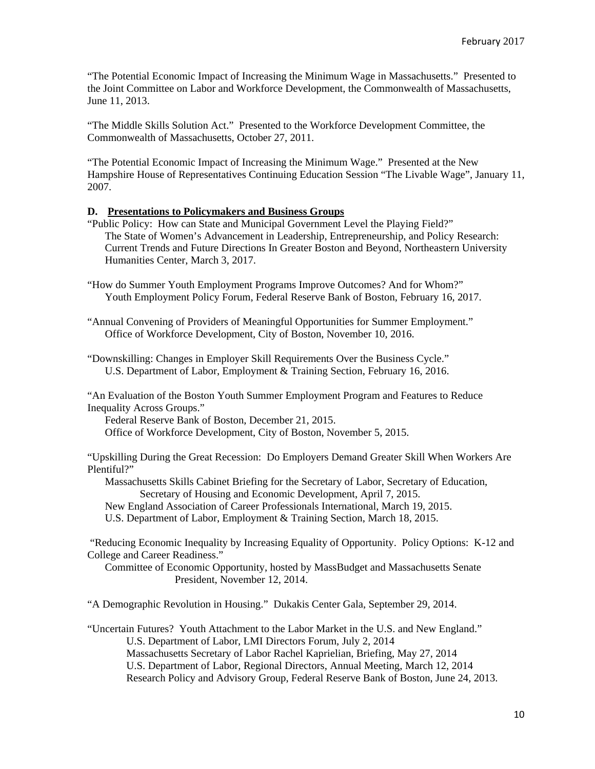"The Potential Economic Impact of Increasing the Minimum Wage in Massachusetts." Presented to the Joint Committee on Labor and Workforce Development, the Commonwealth of Massachusetts, June 11, 2013.

"The Middle Skills Solution Act." Presented to the Workforce Development Committee, the Commonwealth of Massachusetts, October 27, 2011.

"The Potential Economic Impact of Increasing the Minimum Wage." Presented at the New Hampshire House of Representatives Continuing Education Session "The Livable Wage", January 11, 2007.

#### **D. Presentations to Policymakers and Business Groups**

"Public Policy: How can State and Municipal Government Level the Playing Field?" The State of Women's Advancement in Leadership, Entrepreneurship, and Policy Research: Current Trends and Future Directions In Greater Boston and Beyond, Northeastern University Humanities Center, March 3, 2017.

"How do Summer Youth Employment Programs Improve Outcomes? And for Whom?" Youth Employment Policy Forum, Federal Reserve Bank of Boston, February 16, 2017.

"Annual Convening of Providers of Meaningful Opportunities for Summer Employment." Office of Workforce Development, City of Boston, November 10, 2016.

"Downskilling: Changes in Employer Skill Requirements Over the Business Cycle." U.S. Department of Labor, Employment & Training Section, February 16, 2016.

"An Evaluation of the Boston Youth Summer Employment Program and Features to Reduce Inequality Across Groups."

Federal Reserve Bank of Boston, December 21, 2015.

Office of Workforce Development, City of Boston, November 5, 2015.

"Upskilling During the Great Recession: Do Employers Demand Greater Skill When Workers Are Plentiful?"

 Massachusetts Skills Cabinet Briefing for the Secretary of Labor, Secretary of Education, Secretary of Housing and Economic Development, April 7, 2015.

New England Association of Career Professionals International, March 19, 2015.

U.S. Department of Labor, Employment & Training Section, March 18, 2015.

 "Reducing Economic Inequality by Increasing Equality of Opportunity. Policy Options: K-12 and College and Career Readiness."

Committee of Economic Opportunity, hosted by MassBudget and Massachusetts Senate President, November 12, 2014.

"A Demographic Revolution in Housing." Dukakis Center Gala, September 29, 2014.

"Uncertain Futures? Youth Attachment to the Labor Market in the U.S. and New England." U.S. Department of Labor, LMI Directors Forum, July 2, 2014 Massachusetts Secretary of Labor Rachel Kaprielian, Briefing, May 27, 2014 U.S. Department of Labor, Regional Directors, Annual Meeting, March 12, 2014 Research Policy and Advisory Group, Federal Reserve Bank of Boston, June 24, 2013.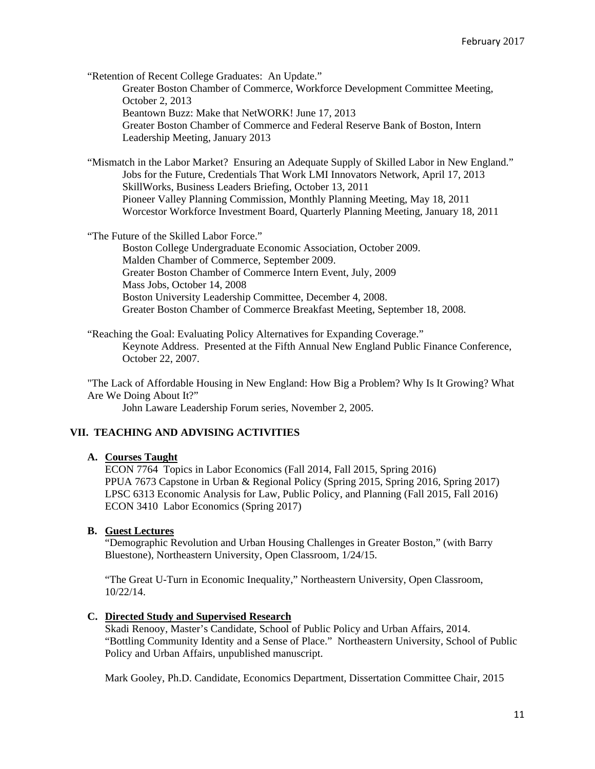"Retention of Recent College Graduates: An Update." Greater Boston Chamber of Commerce, Workforce Development Committee Meeting, October 2, 2013 Beantown Buzz: Make that NetWORK! June 17, 2013 Greater Boston Chamber of Commerce and Federal Reserve Bank of Boston, Intern Leadership Meeting, January 2013

"Mismatch in the Labor Market? Ensuring an Adequate Supply of Skilled Labor in New England." Jobs for the Future, Credentials That Work LMI Innovators Network, April 17, 2013 SkillWorks, Business Leaders Briefing, October 13, 2011 Pioneer Valley Planning Commission, Monthly Planning Meeting, May 18, 2011 Worcestor Workforce Investment Board, Quarterly Planning Meeting, January 18, 2011

"The Future of the Skilled Labor Force."

Boston College Undergraduate Economic Association, October 2009. Malden Chamber of Commerce, September 2009. Greater Boston Chamber of Commerce Intern Event, July, 2009 Mass Jobs, October 14, 2008 Boston University Leadership Committee, December 4, 2008. Greater Boston Chamber of Commerce Breakfast Meeting, September 18, 2008.

"Reaching the Goal: Evaluating Policy Alternatives for Expanding Coverage." Keynote Address. Presented at the Fifth Annual New England Public Finance Conference, October 22, 2007.

"The Lack of Affordable Housing in New England: How Big a Problem? Why Is It Growing? What Are We Doing About It?"

John Laware Leadership Forum series, November 2, 2005.

# **VII. TEACHING AND ADVISING ACTIVITIES**

#### **A. Courses Taught**

ECON 7764 Topics in Labor Economics (Fall 2014, Fall 2015, Spring 2016) PPUA 7673 Capstone in Urban & Regional Policy (Spring 2015, Spring 2016, Spring 2017) LPSC 6313 Economic Analysis for Law, Public Policy, and Planning (Fall 2015, Fall 2016) ECON 3410 Labor Economics (Spring 2017)

# **B. Guest Lectures**

"Demographic Revolution and Urban Housing Challenges in Greater Boston," (with Barry Bluestone), Northeastern University, Open Classroom, 1/24/15.

"The Great U-Turn in Economic Inequality," Northeastern University, Open Classroom, 10/22/14.

# **C. Directed Study and Supervised Research**

Skadi Renooy, Master's Candidate, School of Public Policy and Urban Affairs, 2014. "Bottling Community Identity and a Sense of Place." Northeastern University, School of Public Policy and Urban Affairs, unpublished manuscript.

Mark Gooley, Ph.D. Candidate, Economics Department, Dissertation Committee Chair, 2015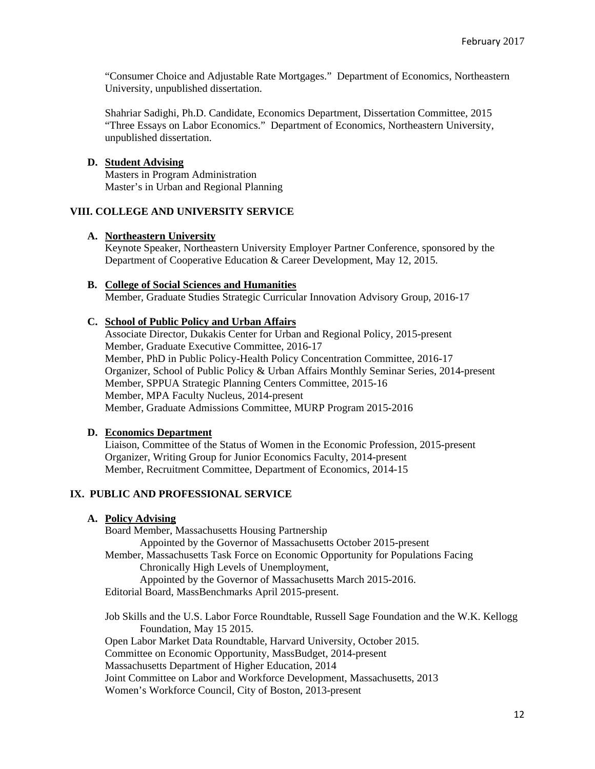"Consumer Choice and Adjustable Rate Mortgages." Department of Economics, Northeastern University, unpublished dissertation.

Shahriar Sadighi, Ph.D. Candidate, Economics Department, Dissertation Committee, 2015 "Three Essays on Labor Economics." Department of Economics, Northeastern University, unpublished dissertation.

#### **D. Student Advising**

Masters in Program Administration Master's in Urban and Regional Planning

#### **VIII. COLLEGE AND UNIVERSITY SERVICE**

#### **A. Northeastern University**

Keynote Speaker, Northeastern University Employer Partner Conference, sponsored by the Department of Cooperative Education & Career Development, May 12, 2015.

#### **B. College of Social Sciences and Humanities**

Member, Graduate Studies Strategic Curricular Innovation Advisory Group, 2016-17

#### **C. School of Public Policy and Urban Affairs**

Associate Director, Dukakis Center for Urban and Regional Policy, 2015-present Member, Graduate Executive Committee, 2016-17 Member, PhD in Public Policy-Health Policy Concentration Committee, 2016-17 Organizer, School of Public Policy & Urban Affairs Monthly Seminar Series, 2014-present Member, SPPUA Strategic Planning Centers Committee, 2015-16 Member, MPA Faculty Nucleus, 2014-present Member, Graduate Admissions Committee, MURP Program 2015-2016

#### **D. Economics Department**

Liaison, Committee of the Status of Women in the Economic Profession, 2015-present Organizer, Writing Group for Junior Economics Faculty, 2014-present Member, Recruitment Committee, Department of Economics, 2014-15

# **IX. PUBLIC AND PROFESSIONAL SERVICE**

### **A. Policy Advising**

Board Member, Massachusetts Housing Partnership Appointed by the Governor of Massachusetts October 2015-present Member, Massachusetts Task Force on Economic Opportunity for Populations Facing Chronically High Levels of Unemployment, Appointed by the Governor of Massachusetts March 2015-2016. Editorial Board, MassBenchmarks April 2015-present.

Job Skills and the U.S. Labor Force Roundtable, Russell Sage Foundation and the W.K. Kellogg Foundation, May 15 2015. Open Labor Market Data Roundtable, Harvard University, October 2015. Committee on Economic Opportunity, MassBudget, 2014-present Massachusetts Department of Higher Education, 2014 Joint Committee on Labor and Workforce Development, Massachusetts, 2013 Women's Workforce Council, City of Boston, 2013-present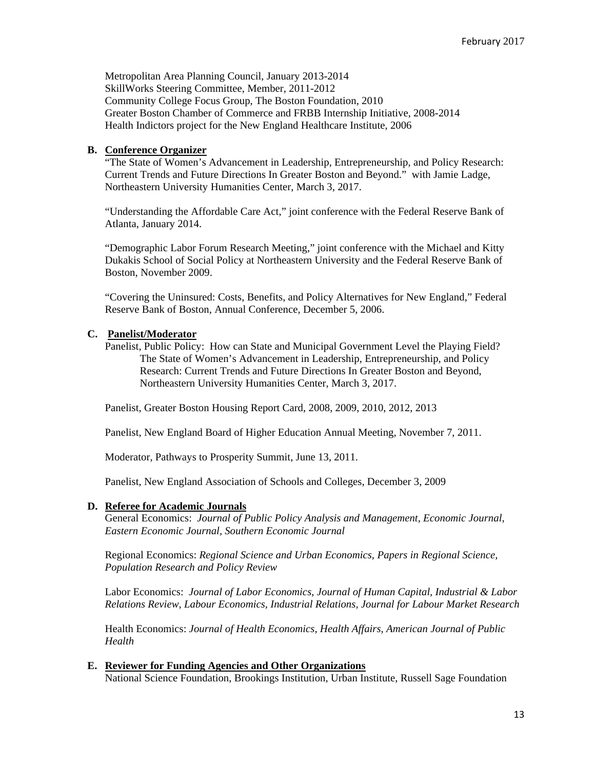Metropolitan Area Planning Council, January 2013-2014 SkillWorks Steering Committee, Member, 2011-2012 Community College Focus Group, The Boston Foundation, 2010 Greater Boston Chamber of Commerce and FRBB Internship Initiative, 2008-2014 Health Indictors project for the New England Healthcare Institute, 2006

# **B. Conference Organizer**

"The State of Women's Advancement in Leadership, Entrepreneurship, and Policy Research: Current Trends and Future Directions In Greater Boston and Beyond." with Jamie Ladge, Northeastern University Humanities Center, March 3, 2017.

"Understanding the Affordable Care Act," joint conference with the Federal Reserve Bank of Atlanta, January 2014.

"Demographic Labor Forum Research Meeting," joint conference with the Michael and Kitty Dukakis School of Social Policy at Northeastern University and the Federal Reserve Bank of Boston, November 2009.

"Covering the Uninsured: Costs, Benefits, and Policy Alternatives for New England," Federal Reserve Bank of Boston, Annual Conference, December 5, 2006.

#### **C. Panelist/Moderator**

Panelist, Public Policy: How can State and Municipal Government Level the Playing Field? The State of Women's Advancement in Leadership, Entrepreneurship, and Policy Research: Current Trends and Future Directions In Greater Boston and Beyond, Northeastern University Humanities Center, March 3, 2017.

Panelist, Greater Boston Housing Report Card, 2008, 2009, 2010, 2012, 2013

Panelist, New England Board of Higher Education Annual Meeting, November 7, 2011.

Moderator, Pathways to Prosperity Summit, June 13, 2011.

Panelist, New England Association of Schools and Colleges, December 3, 2009

#### **D. Referee for Academic Journals**

General Economics: *Journal of Public Policy Analysis and Management, Economic Journal, Eastern Economic Journal, Southern Economic Journal* 

Regional Economics: *Regional Science and Urban Economics, Papers in Regional Science, Population Research and Policy Review* 

Labor Economics: *Journal of Labor Economics, Journal of Human Capital, Industrial & Labor Relations Review, Labour Economics, Industrial Relations, Journal for Labour Market Research*

Health Economics: *Journal of Health Economics, Health Affairs, American Journal of Public Health* 

#### **E. Reviewer for Funding Agencies and Other Organizations**

National Science Foundation, Brookings Institution, Urban Institute, Russell Sage Foundation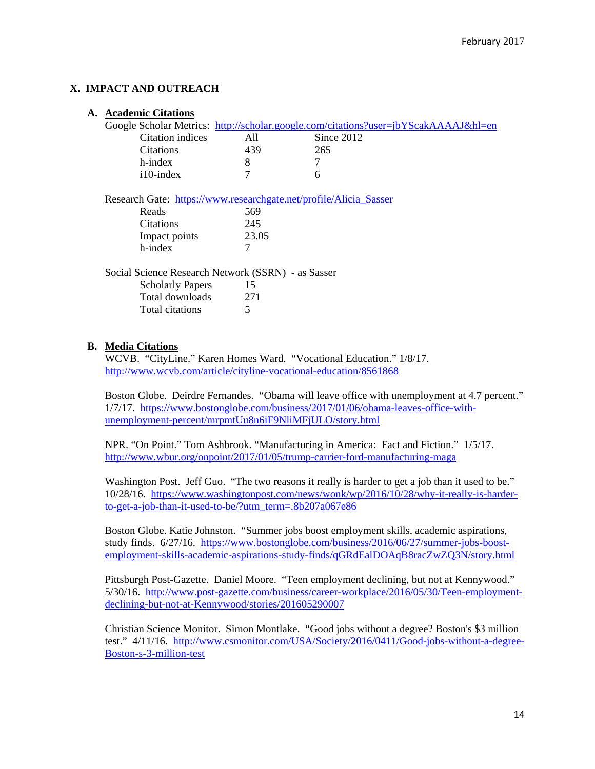# **X. IMPACT AND OUTREACH**

|                                                    | <b>A. Academic Citations</b>                                                        |       |              |
|----------------------------------------------------|-------------------------------------------------------------------------------------|-------|--------------|
|                                                    | Google Scholar Metrics: http://scholar.google.com/citations?user=jbYScakAAAAJ&hl=en |       |              |
|                                                    | Citation indices                                                                    | All   | Since $2012$ |
|                                                    | <b>Citations</b>                                                                    | 439   | 265          |
|                                                    | h-index                                                                             | 8     | 7            |
|                                                    | $i10$ -index                                                                        | 7     | 6            |
|                                                    | Research Gate: https://www.researchgate.net/profile/Alicia_Sasser                   |       |              |
|                                                    | Reads                                                                               | 569   |              |
|                                                    | <b>Citations</b>                                                                    | 245   |              |
|                                                    | Impact points                                                                       | 23.05 |              |
|                                                    | h-index                                                                             | 7     |              |
| Social Science Research Network (SSRN) - as Sasser |                                                                                     |       |              |
|                                                    | <b>Scholarly Papers</b>                                                             | 15    |              |
|                                                    | Total downloads                                                                     | 271   |              |
|                                                    | Total citations                                                                     | 5     |              |

# **B. Media Citations**

WCVB. "CityLine." Karen Homes Ward. "Vocational Education." 1/8/17. http://www.wcvb.com/article/cityline-vocational-education/8561868

Boston Globe. Deirdre Fernandes. "Obama will leave office with unemployment at 4.7 percent." 1/7/17. https://www.bostonglobe.com/business/2017/01/06/obama-leaves-office-withunemployment-percent/mrpmtUu8n6iF9NliMFjULO/story.html

NPR. "On Point." Tom Ashbrook. "Manufacturing in America: Fact and Fiction." 1/5/17. http://www.wbur.org/onpoint/2017/01/05/trump-carrier-ford-manufacturing-maga

Washington Post. Jeff Guo. "The two reasons it really is harder to get a job than it used to be." 10/28/16. https://www.washingtonpost.com/news/wonk/wp/2016/10/28/why-it-really-is-harderto-get-a-job-than-it-used-to-be/?utm\_term=.8b207a067e86

Boston Globe. Katie Johnston. "Summer jobs boost employment skills, academic aspirations, study finds. 6/27/16. https://www.bostonglobe.com/business/2016/06/27/summer-jobs-boostemployment-skills-academic-aspirations-study-finds/qGRdEalDOAqB8racZwZQ3N/story.html

Pittsburgh Post-Gazette. Daniel Moore. "Teen employment declining, but not at Kennywood." 5/30/16. http://www.post-gazette.com/business/career-workplace/2016/05/30/Teen-employmentdeclining-but-not-at-Kennywood/stories/201605290007

Christian Science Monitor. Simon Montlake. "Good jobs without a degree? Boston's \$3 million test." 4/11/16. http://www.csmonitor.com/USA/Society/2016/0411/Good-jobs-without-a-degree-Boston-s-3-million-test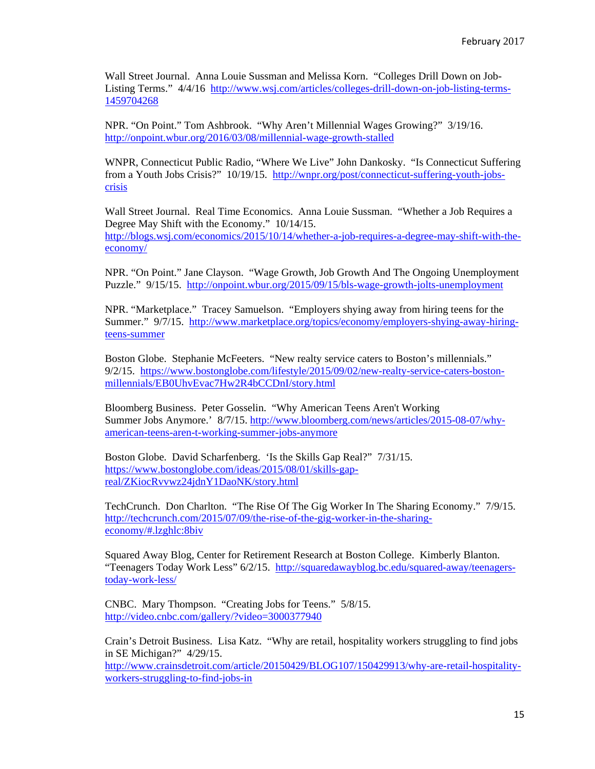Wall Street Journal. Anna Louie Sussman and Melissa Korn. "Colleges Drill Down on Job-Listing Terms." 4/4/16 http://www.wsj.com/articles/colleges-drill-down-on-job-listing-terms-1459704268

NPR. "On Point." Tom Ashbrook. "Why Aren't Millennial Wages Growing?" 3/19/16. http://onpoint.wbur.org/2016/03/08/millennial-wage-growth-stalled

WNPR, Connecticut Public Radio, "Where We Live" John Dankosky. "Is Connecticut Suffering from a Youth Jobs Crisis?" 10/19/15. http://wnpr.org/post/connecticut-suffering-youth-jobscrisis

Wall Street Journal. Real Time Economics. Anna Louie Sussman. "Whether a Job Requires a Degree May Shift with the Economy." 10/14/15. http://blogs.wsj.com/economics/2015/10/14/whether-a-job-requires-a-degree-may-shift-with-theeconomy/

NPR. "On Point." Jane Clayson. "Wage Growth, Job Growth And The Ongoing Unemployment Puzzle." 9/15/15. http://onpoint.wbur.org/2015/09/15/bls-wage-growth-jolts-unemployment

NPR. "Marketplace." Tracey Samuelson. "Employers shying away from hiring teens for the Summer." 9/7/15. http://www.marketplace.org/topics/economy/employers-shying-away-hiringteens-summer

Boston Globe. Stephanie McFeeters. "New realty service caters to Boston's millennials." 9/2/15. https://www.bostonglobe.com/lifestyle/2015/09/02/new-realty-service-caters-bostonmillennials/EB0UhvEvac7Hw2R4bCCDnI/story.html

Bloomberg Business. Peter Gosselin. "Why American Teens Aren't Working Summer Jobs Anymore.' 8/7/15. http://www.bloomberg.com/news/articles/2015-08-07/whyamerican-teens-aren-t-working-summer-jobs-anymore

Boston Globe. David Scharfenberg. 'Is the Skills Gap Real?" 7/31/15. https://www.bostonglobe.com/ideas/2015/08/01/skills-gapreal/ZKiocRvvwz24jdnY1DaoNK/story.html

TechCrunch. Don Charlton. "The Rise Of The Gig Worker In The Sharing Economy." 7/9/15. http://techcrunch.com/2015/07/09/the-rise-of-the-gig-worker-in-the-sharingeconomy/#.lzghlc:8biv

Squared Away Blog, Center for Retirement Research at Boston College. Kimberly Blanton. "Teenagers Today Work Less" 6/2/15. http://squaredawayblog.bc.edu/squared-away/teenagerstoday-work-less/

CNBC. Mary Thompson. "Creating Jobs for Teens." 5/8/15. http://video.cnbc.com/gallery/?video=3000377940

Crain's Detroit Business. Lisa Katz. "Why are retail, hospitality workers struggling to find jobs in SE Michigan?" 4/29/15. http://www.crainsdetroit.com/article/20150429/BLOG107/150429913/why-are-retail-hospitality-

workers-struggling-to-find-jobs-in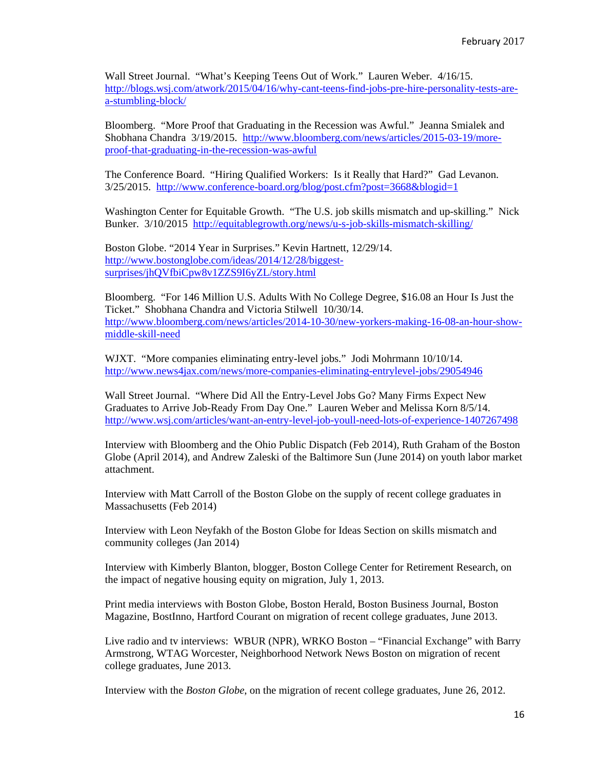Wall Street Journal. "What's Keeping Teens Out of Work." Lauren Weber. 4/16/15. http://blogs.wsj.com/atwork/2015/04/16/why-cant-teens-find-jobs-pre-hire-personality-tests-area-stumbling-block/

Bloomberg. "More Proof that Graduating in the Recession was Awful." Jeanna Smialek and Shobhana Chandra 3/19/2015. http://www.bloomberg.com/news/articles/2015-03-19/moreproof-that-graduating-in-the-recession-was-awful

The Conference Board. "Hiring Qualified Workers: Is it Really that Hard?" Gad Levanon. 3/25/2015. http://www.conference-board.org/blog/post.cfm?post=3668&blogid=1

Washington Center for Equitable Growth. "The U.S. job skills mismatch and up-skilling." Nick Bunker. 3/10/2015 http://equitablegrowth.org/news/u-s-job-skills-mismatch-skilling/

Boston Globe. "2014 Year in Surprises." Kevin Hartnett, 12/29/14. http://www.bostonglobe.com/ideas/2014/12/28/biggestsurprises/jhQVfbiCpw8v1ZZS9I6yZL/story.html

Bloomberg. "For 146 Million U.S. Adults With No College Degree, \$16.08 an Hour Is Just the Ticket." Shobhana Chandra and Victoria Stilwell 10/30/14. http://www.bloomberg.com/news/articles/2014-10-30/new-yorkers-making-16-08-an-hour-showmiddle-skill-need

WJXT. "More companies eliminating entry-level jobs." Jodi Mohrmann 10/10/14. http://www.news4jax.com/news/more-companies-eliminating-entrylevel-jobs/29054946

Wall Street Journal. "Where Did All the Entry-Level Jobs Go? Many Firms Expect New Graduates to Arrive Job-Ready From Day One." Lauren Weber and Melissa Korn 8/5/14. http://www.wsj.com/articles/want-an-entry-level-job-youll-need-lots-of-experience-1407267498

Interview with Bloomberg and the Ohio Public Dispatch (Feb 2014), Ruth Graham of the Boston Globe (April 2014), and Andrew Zaleski of the Baltimore Sun (June 2014) on youth labor market attachment.

Interview with Matt Carroll of the Boston Globe on the supply of recent college graduates in Massachusetts (Feb 2014)

Interview with Leon Neyfakh of the Boston Globe for Ideas Section on skills mismatch and community colleges (Jan 2014)

Interview with Kimberly Blanton, blogger, Boston College Center for Retirement Research, on the impact of negative housing equity on migration, July 1, 2013.

Print media interviews with Boston Globe, Boston Herald, Boston Business Journal, Boston Magazine, BostInno, Hartford Courant on migration of recent college graduates, June 2013.

Live radio and tv interviews: WBUR (NPR), WRKO Boston – "Financial Exchange" with Barry Armstrong, WTAG Worcester, Neighborhood Network News Boston on migration of recent college graduates, June 2013.

Interview with the *Boston Globe*, on the migration of recent college graduates, June 26, 2012.